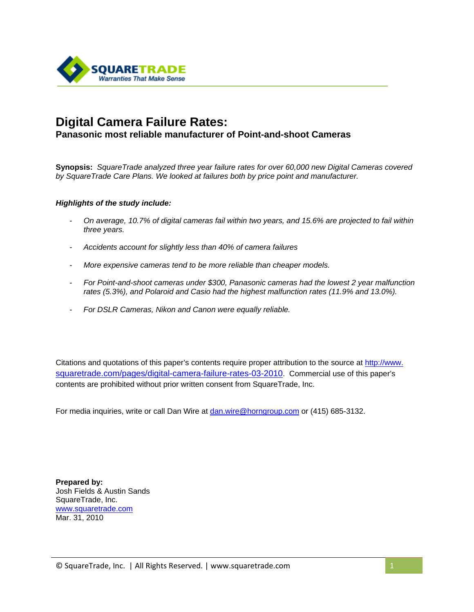

# **Digital Camera Failure Rates:**

#### **Panasonic most reliable manufacturer of Point-and-shoot Cameras**

**Synopsis:** *SquareTrade analyzed three year failure rates for over 60,000 new Digital Cameras covered by SquareTrade Care Plans. We looked at failures both by price point and manufacturer.* 

#### *Highlights of the study include:*

- *On average, 10.7% of digital cameras fail within two years, and 15.6% are projected to fail within three years.*
- *Accidents account for slightly less than 40% of camera failures*
- *More expensive cameras tend to be more reliable than cheaper models.*
- *For Point-and-shoot cameras under \$300, Panasonic cameras had the lowest 2 year malfunction rates (5.3%), and Polaroid and Casio had the highest malfunction rates (11.9% and 13.0%).*
- *For DSLR Cameras, Nikon and Canon were equally reliable.*

Citations and quotations of this paper's contents require proper attribution to the source at [http://www.](http://www.squaretrade.com/pages/camera-reliability) [squaretrade.com/pages/digital-camera-failure-rates-03-2010](http://www.squaretrade.com/pages/camera-reliability). Commercial use of this paper's contents are prohibited without prior written consent from SquareTrade, Inc.

For media inquiries, write or call Dan Wire at [dan.wire@horngroup.com](mailto:dan.wire@horngroup.com) or (415) 685-3132.

**Prepared by:**  Josh Fields & Austin Sands SquareTrade, Inc. [www.squaretrade.com](http://www.squaretrade.com/)  Mar. 31, 2010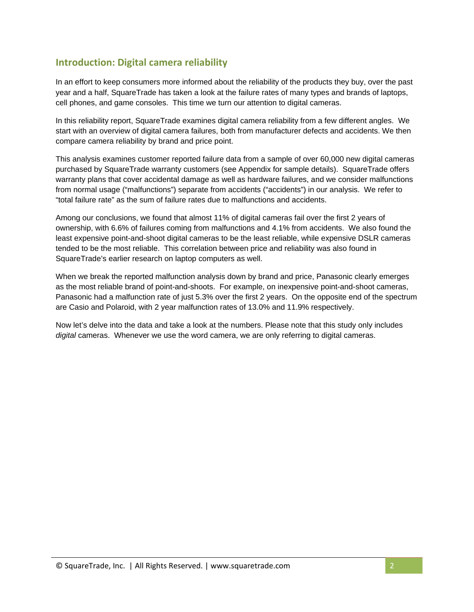### **Introduction: Digital camera reliability**

In an effort to keep consumers more informed about the reliability of the products they buy, over the past year and a half, SquareTrade has taken a look at the failure rates of many types and brands of laptops, cell phones, and game consoles. This time we turn our attention to digital cameras.

In this reliability report, SquareTrade examines digital camera reliability from a few different angles. We start with an overview of digital camera failures, both from manufacturer defects and accidents. We then compare camera reliability by brand and price point.

This analysis examines customer reported failure data from a sample of over 60,000 new digital cameras purchased by SquareTrade warranty customers (see Appendix for sample details). SquareTrade offers warranty plans that cover accidental damage as well as hardware failures, and we consider malfunctions from normal usage ("malfunctions") separate from accidents ("accidents") in our analysis. We refer to "total failure rate" as the sum of failure rates due to malfunctions and accidents.

Among our conclusions, we found that almost 11% of digital cameras fail over the first 2 years of ownership, with 6.6% of failures coming from malfunctions and 4.1% from accidents. We also found the least expensive point-and-shoot digital cameras to be the least reliable, while expensive DSLR cameras tended to be the most reliable. This correlation between price and reliability was also found in SquareTrade's earlier research on laptop computers as well.

When we break the reported malfunction analysis down by brand and price, Panasonic clearly emerges as the most reliable brand of point-and-shoots. For example, on inexpensive point-and-shoot cameras, Panasonic had a malfunction rate of just 5.3% over the first 2 years. On the opposite end of the spectrum are Casio and Polaroid, with 2 year malfunction rates of 13.0% and 11.9% respectively.

Now let's delve into the data and take a look at the numbers. Please note that this study only includes *digital* cameras. Whenever we use the word camera, we are only referring to digital cameras.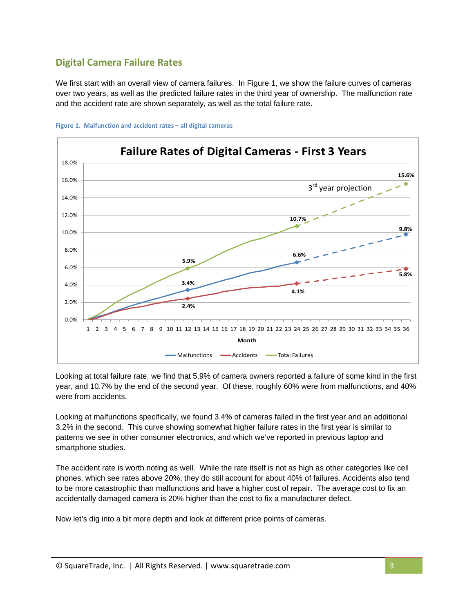## **Digital Camera Failure Rates**

We first start with an overall view of camera failures. In Figure 1, we show the failure curves of cameras over two years, as well as the predicted failure rates in the third year of ownership. The malfunction rate and the accident rate are shown separately, as well as the total failure rate.





Looking at total failure rate, we find that 5.9% of camera owners reported a failure of some kind in the first year, and 10.7% by the end of the second year. Of these, roughly 60% were from malfunctions, and 40% were from accidents.

Looking at malfunctions specifically, we found 3.4% of cameras failed in the first year and an additional 3.2% in the second. This curve showing somewhat higher failure rates in the first year is similar to patterns we see in other consumer electronics, and which we've reported in previous laptop and smartphone studies.

The accident rate is worth noting as well. While the rate itself is not as high as other categories like cell phones, which see rates above 20%, they do still account for about 40% of failures. Accidents also tend to be more catastrophic than malfunctions and have a higher cost of repair. The average cost to fix an accidentally damaged camera is 20% higher than the cost to fix a manufacturer defect.

Now let's dig into a bit more depth and look at different price points of cameras.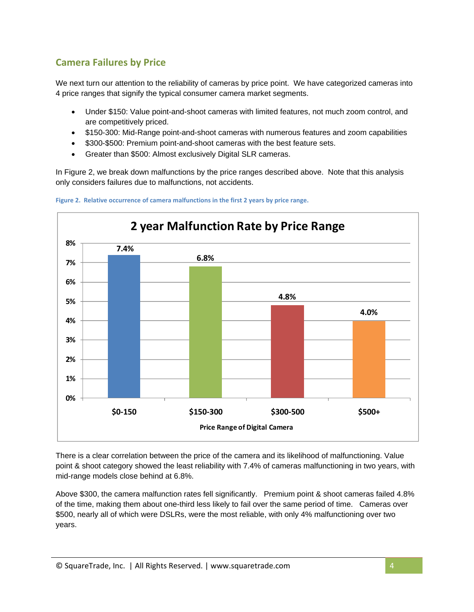# **Camera Failures by Price**

We next turn our attention to the reliability of cameras by price point. We have categorized cameras into 4 price ranges that signify the typical consumer camera market segments.

- Under \$150: Value point-and-shoot cameras with limited features, not much zoom control, and are competitively priced.
- \$150-300: Mid-Range point-and-shoot cameras with numerous features and zoom capabilities
- \$300-\$500: Premium point-and-shoot cameras with the best feature sets.
- Greater than \$500: Almost exclusively Digital SLR cameras.

In Figure 2, we break down malfunctions by the price ranges described above. Note that this analysis only considers failures due to malfunctions, not accidents.



**Figure 2. Relative occurrence of camera malfunctions in the first 2 years by price range.**

There is a clear correlation between the price of the camera and its likelihood of malfunctioning. Value point & shoot category showed the least reliability with 7.4% of cameras malfunctioning in two years, with mid-range models close behind at 6.8%.

Above \$300, the camera malfunction rates fell significantly. Premium point & shoot cameras failed 4.8% of the time, making them about one-third less likely to fail over the same period of time. Cameras over \$500, nearly all of which were DSLRs, were the most reliable, with only 4% malfunctioning over two years.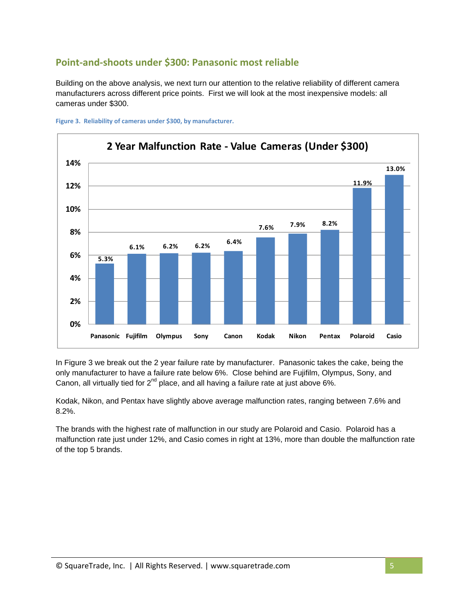### **Point‐and‐shoots under \$300: Panasonic most reliable**

Building on the above analysis, we next turn our attention to the relative reliability of different camera manufacturers across different price points. First we will look at the most inexpensive models: all cameras under \$300.





In Figure 3 we break out the 2 year failure rate by manufacturer. Panasonic takes the cake, being the only manufacturer to have a failure rate below 6%. Close behind are Fujifilm, Olympus, Sony, and Canon, all virtually tied for  $2<sup>nd</sup>$  place, and all having a failure rate at just above 6%.

Kodak, Nikon, and Pentax have slightly above average malfunction rates, ranging between 7.6% and 8.2%.

The brands with the highest rate of malfunction in our study are Polaroid and Casio. Polaroid has a malfunction rate just under 12%, and Casio comes in right at 13%, more than double the malfunction rate of the top 5 brands.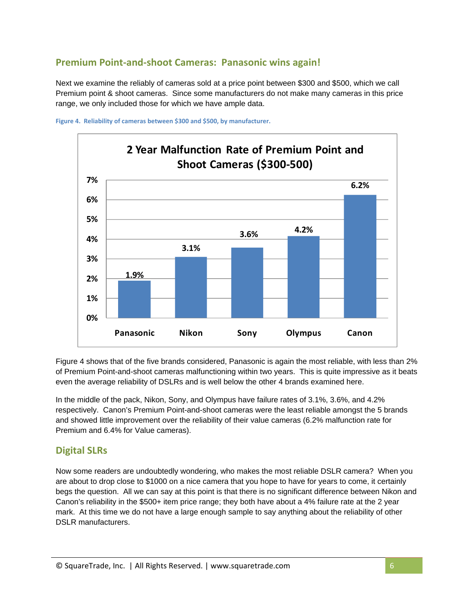## **Premium Point‐and‐shoot Cameras: Panasonic wins again!**

Next we examine the reliably of cameras sold at a price point between \$300 and \$500, which we call Premium point & shoot cameras. Since some manufacturers do not make many cameras in this price range, we only included those for which we have ample data.





Figure 4 shows that of the five brands considered, Panasonic is again the most reliable, with less than 2% of Premium Point-and-shoot cameras malfunctioning within two years. This is quite impressive as it beats even the average reliability of DSLRs and is well below the other 4 brands examined here.

In the middle of the pack, Nikon, Sony, and Olympus have failure rates of 3.1%, 3.6%, and 4.2% respectively. Canon's Premium Point-and-shoot cameras were the least reliable amongst the 5 brands and showed little improvement over the reliability of their value cameras (6.2% malfunction rate for Premium and 6.4% for Value cameras).

#### **Digital SLRs**

Now some readers are undoubtedly wondering, who makes the most reliable DSLR camera? When you are about to drop close to \$1000 on a nice camera that you hope to have for years to come, it certainly begs the question. All we can say at this point is that there is no significant difference between Nikon and Canon's reliability in the \$500+ item price range; they both have about a 4% failure rate at the 2 year mark. At this time we do not have a large enough sample to say anything about the reliability of other DSLR manufacturers.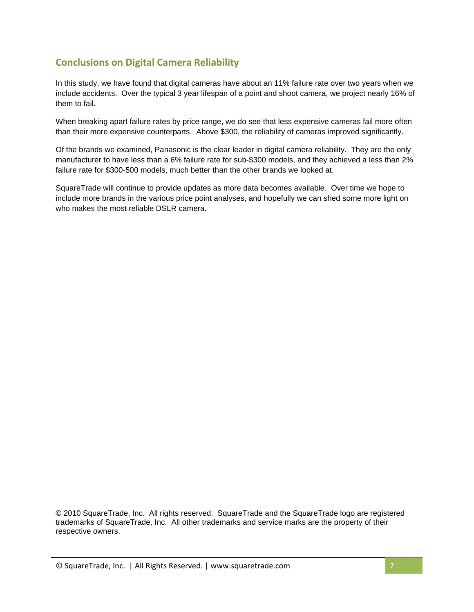# **Conclusions on Digital Camera Reliability**

In this study, we have found that digital cameras have about an 11% failure rate over two years when we include accidents. Over the typical 3 year lifespan of a point and shoot camera, we project nearly 16% of them to fail.

When breaking apart failure rates by price range, we do see that less expensive cameras fail more often than their more expensive counterparts. Above \$300, the reliability of cameras improved significantly.

Of the brands we examined, Panasonic is the clear leader in digital camera reliability. They are the only manufacturer to have less than a 6% failure rate for sub-\$300 models, and they achieved a less than 2% failure rate for \$300-500 models, much better than the other brands we looked at.

SquareTrade will continue to provide updates as more data becomes available. Over time we hope to include more brands in the various price point analyses, and hopefully we can shed some more light on who makes the most reliable DSLR camera.

© 2010 SquareTrade, Inc. All rights reserved. SquareTrade and the SquareTrade logo are registered trademarks of SquareTrade, Inc. All other trademarks and service marks are the property of their respective owners.